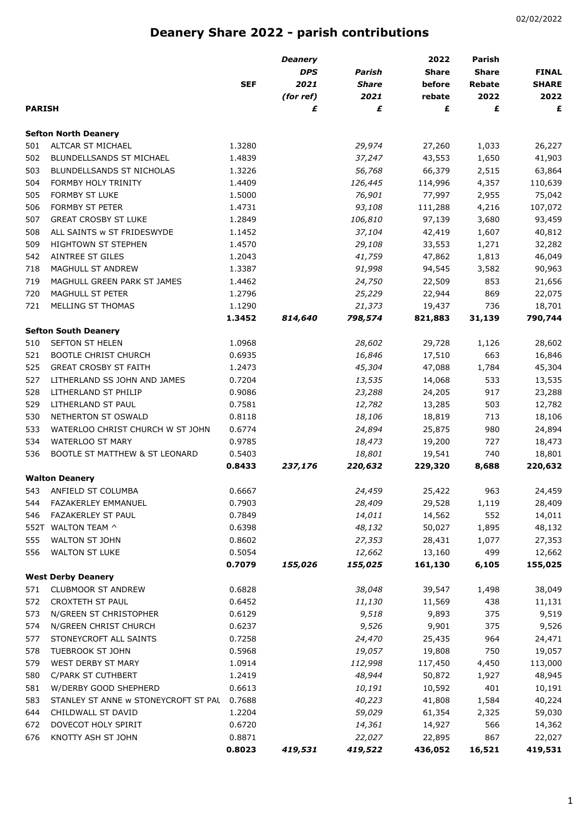## **Deanery Share 2022 - parish contributions**

|               |                                           |            | <b>Deanery</b> |              | 2022         | <b>Parish</b> |              |
|---------------|-------------------------------------------|------------|----------------|--------------|--------------|---------------|--------------|
|               |                                           |            | <b>DPS</b>     | Parish       | <b>Share</b> | <b>Share</b>  | <b>FINAL</b> |
|               |                                           | <b>SEF</b> | 2021           | <b>Share</b> | before       | Rebate        | <b>SHARE</b> |
|               |                                           |            | (for ref)      | 2021         | rebate       | 2022          | 2022         |
| <b>PARISH</b> |                                           |            | £              | £            | £            | £             | £            |
|               | <b>Sefton North Deanery</b>               |            |                |              |              |               |              |
| 501           | ALTCAR ST MICHAEL                         | 1.3280     |                | 29,974       | 27,260       | 1,033         | 26,227       |
| 502           | BLUNDELLSANDS ST MICHAEL                  | 1.4839     |                | 37,247       | 43,553       | 1,650         | 41,903       |
| 503           | BLUNDELLSANDS ST NICHOLAS                 | 1.3226     |                | 56,768       | 66,379       | 2,515         | 63,864       |
| 504           | FORMBY HOLY TRINITY                       | 1.4409     |                | 126,445      | 114,996      | 4,357         | 110,639      |
| 505           | FORMBY ST LUKE                            | 1.5000     |                | 76,901       | 77,997       | 2,955         | 75,042       |
| 506           | FORMBY ST PETER                           | 1.4731     |                | 93,108       | 111,288      | 4,216         | 107,072      |
| 507           | <b>GREAT CROSBY ST LUKE</b>               | 1.2849     |                | 106,810      | 97,139       | 3,680         | 93,459       |
| 508           | ALL SAINTS w ST FRIDESWYDE                | 1.1452     |                | 37,104       | 42,419       | 1,607         | 40,812       |
| 509           | <b>HIGHTOWN ST STEPHEN</b>                | 1.4570     |                | 29,108       | 33,553       | 1,271         | 32,282       |
| 542           | AINTREE ST GILES                          | 1.2043     |                | 41,759       | 47,862       | 1,813         | 46,049       |
| 718           | MAGHULL ST ANDREW                         | 1.3387     |                | 91,998       | 94,545       | 3,582         | 90,963       |
| 719           | MAGHULL GREEN PARK ST JAMES               | 1.4462     |                | 24,750       | 22,509       | 853           | 21,656       |
| 720           | MAGHULL ST PETER                          | 1.2796     |                | 25,229       | 22,944       | 869           | 22,075       |
| 721           | MELLING ST THOMAS                         | 1.1290     |                | 21,373       | 19,437       | 736           | 18,701       |
|               |                                           | 1.3452     | 814,640        | 798,574      | 821,883      | 31,139        | 790,744      |
|               | <b>Sefton South Deanery</b>               |            |                |              |              |               |              |
| 510           | SEFTON ST HELEN                           | 1.0968     |                | 28,602       | 29,728       | 1,126         | 28,602       |
| 521           | <b>BOOTLE CHRIST CHURCH</b>               | 0.6935     |                | 16,846       | 17,510       | 663           | 16,846       |
| 525           | <b>GREAT CROSBY ST FAITH</b>              | 1.2473     |                | 45,304       | 47,088       | 1,784         | 45,304       |
| 527           | LITHERLAND SS JOHN AND JAMES              | 0.7204     |                | 13,535       | 14,068       | 533           | 13,535       |
| 528           | LITHERLAND ST PHILIP                      | 0.9086     |                | 23,288       | 24,205       | 917           | 23,288       |
| 529           | LITHERLAND ST PAUL                        | 0.7581     |                | 12,782       | 13,285       | 503           | 12,782       |
| 530           | NETHERTON ST OSWALD                       | 0.8118     |                | 18,106       | 18,819       | 713           | 18,106       |
| 533           | WATERLOO CHRIST CHURCH W ST JOHN          | 0.6774     |                | 24,894       | 25,875       | 980           | 24,894       |
| 534           | WATERLOO ST MARY                          | 0.9785     |                | 18,473       | 19,200       | 727           | 18,473       |
| 536           | <b>BOOTLE ST MATTHEW &amp; ST LEONARD</b> | 0.5403     |                | 18,801       | 19,541       | 740           | 18,801       |
|               |                                           | 0.8433     | 237,176        | 220,632      | 229,320      | 8,688         | 220,632      |
|               | <b>Walton Deanery</b>                     |            |                |              |              |               |              |
| 543           | ANFIELD ST COLUMBA                        | 0.6667     |                | 24,459       | 25,422       | 963           | 24,459       |
| 544           | FAZAKERLEY EMMANUEL                       | 0.7903     |                | 28,409       | 29,528       | 1,119         | 28,409       |
| 546           | FAZAKERLEY ST PAUL                        | 0.7849     |                | 14,011       | 14,562       | 552           | 14,011       |
| 552T          | WALTON TEAM ^                             | 0.6398     |                | 48,132       | 50,027       | 1,895         | 48,132       |
| 555           | WALTON ST JOHN                            | 0.8602     |                | 27,353       | 28,431       | 1,077         | 27,353       |
| 556           | <b>WALTON ST LUKE</b>                     | 0.5054     |                | 12,662       | 13,160       | 499           | 12,662       |
|               | <b>West Derby Deanery</b>                 | 0.7079     | 155,026        | 155,025      | 161,130      | 6,105         | 155,025      |
| 571           | <b>CLUBMOOR ST ANDREW</b>                 | 0.6828     |                | 38,048       | 39,547       | 1,498         | 38,049       |
| 572           | CROXTETH ST PAUL                          | 0.6452     |                | 11,130       | 11,569       | 438           | 11,131       |
| 573           | N/GREEN ST CHRISTOPHER                    | 0.6129     |                | 9,518        | 9,893        | 375           | 9,519        |
| 574           | N/GREEN CHRIST CHURCH                     | 0.6237     |                | 9,526        | 9,901        | 375           | 9,526        |
| 577           | STONEYCROFT ALL SAINTS                    | 0.7258     |                | 24,470       | 25,435       | 964           | 24,471       |
| 578           | TUEBROOK ST JOHN                          | 0.5968     |                | 19,057       | 19,808       | 750           | 19,057       |
| 579           | WEST DERBY ST MARY                        | 1.0914     |                | 112,998      | 117,450      | 4,450         | 113,000      |
| 580           | C/PARK ST CUTHBERT                        | 1.2419     |                | 48,944       | 50,872       | 1,927         | 48,945       |
| 581           | W/DERBY GOOD SHEPHERD                     | 0.6613     |                | 10,191       | 10,592       | 401           | 10,191       |
| 583           | STANLEY ST ANNE w STONEYCROFT ST PAL      | 0.7688     |                | 40,223       | 41,808       | 1,584         | 40,224       |
| 644           | CHILDWALL ST DAVID                        | 1.2204     |                | 59,029       | 61,354       | 2,325         | 59,030       |
| 672           | DOVECOT HOLY SPIRIT                       | 0.6720     |                | 14,361       | 14,927       | 566           | 14,362       |
| 676           | KNOTTY ASH ST JOHN                        | 0.8871     |                | 22,027       | 22,895       | 867           | 22,027       |
|               |                                           | 0.8023     | 419,531        | 419,522      | 436,052      | 16,521        | 419,531      |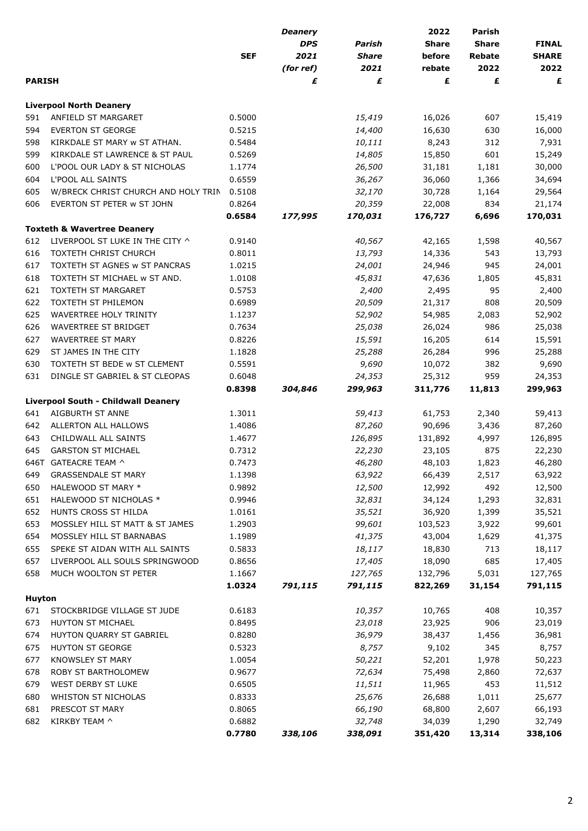|               |                                            |            | <b>Deanery</b> |               | 2022         | <b>Parish</b> |              |
|---------------|--------------------------------------------|------------|----------------|---------------|--------------|---------------|--------------|
|               |                                            |            | <b>DPS</b>     | <b>Parish</b> | <b>Share</b> | <b>Share</b>  | <b>FINAL</b> |
|               |                                            | <b>SEF</b> | 2021           | <b>Share</b>  | before       | Rebate        | <b>SHARE</b> |
|               |                                            |            | (for ref)      | 2021          | rebate       | 2022          | 2022         |
| <b>PARISH</b> |                                            |            | £              | £             | £            | £             | £            |
|               | <b>Liverpool North Deanery</b>             |            |                |               |              |               |              |
| 591           | ANFIELD ST MARGARET                        | 0.5000     |                | 15,419        | 16,026       | 607           | 15,419       |
| 594           | <b>EVERTON ST GEORGE</b>                   | 0.5215     |                | 14,400        | 16,630       | 630           | 16,000       |
| 598           | KIRKDALE ST MARY w ST ATHAN.               | 0.5484     |                | 10,111        | 8,243        | 312           | 7,931        |
| 599           | KIRKDALE ST LAWRENCE & ST PAUL             | 0.5269     |                | 14,805        | 15,850       | 601           | 15,249       |
| 600           | L'POOL OUR LADY & ST NICHOLAS              | 1.1774     |                | 26,500        | 31,181       | 1,181         | 30,000       |
| 604           | L'POOL ALL SAINTS                          | 0.6559     |                | 36,267        | 36,060       | 1,366         | 34,694       |
| 605           | W/BRECK CHRIST CHURCH AND HOLY TRIN        | 0.5108     |                | 32,170        | 30,728       | 1,164         | 29,564       |
| 606           | EVERTON ST PETER w ST JOHN                 | 0.8264     |                | 20,359        | 22,008       | 834           | 21,174       |
|               |                                            | 0.6584     | 177,995        | 170,031       | 176,727      | 6,696         | 170,031      |
|               | <b>Toxteth &amp; Wavertree Deanery</b>     |            |                |               |              |               |              |
| 612           | LIVERPOOL ST LUKE IN THE CITY ^            | 0.9140     |                | 40,567        | 42,165       | 1,598         | 40,567       |
| 616           | <b>TOXTETH CHRIST CHURCH</b>               | 0.8011     |                | 13,793        | 14,336       | 543           | 13,793       |
| 617           | TOXTETH ST AGNES w ST PANCRAS              | 1.0215     |                | 24,001        | 24,946       | 945           | 24,001       |
| 618           | TOXTETH ST MICHAEL w ST AND.               | 1.0108     |                | 45,831        | 47,636       | 1,805         | 45,831       |
| 621           | <b>TOXTETH ST MARGARET</b>                 | 0.5753     |                | 2,400         | 2,495        | 95            | 2,400        |
| 622           | <b>TOXTETH ST PHILEMON</b>                 | 0.6989     |                | 20,509        | 21,317       | 808           | 20,509       |
| 625           | WAVERTREE HOLY TRINITY                     | 1.1237     |                | 52,902        | 54,985       | 2,083         | 52,902       |
| 626           | WAVERTREE ST BRIDGET                       | 0.7634     |                | 25,038        | 26,024       | 986           | 25,038       |
| 627           | <b>WAVERTREE ST MARY</b>                   | 0.8226     |                | 15,591        | 16,205       | 614           | 15,591       |
| 629           | ST JAMES IN THE CITY                       | 1.1828     |                | 25,288        | 26,284       | 996           | 25,288       |
| 630           | TOXTETH ST BEDE w ST CLEMENT               | 0.5591     |                | 9,690         | 10,072       | 382           | 9,690        |
| 631           | DINGLE ST GABRIEL & ST CLEOPAS             | 0.6048     |                | 24,353        | 25,312       | 959           | 24,353       |
|               |                                            | 0.8398     | 304,846        | 299,963       | 311,776      | 11,813        | 299,963      |
|               | <b>Liverpool South - Childwall Deanery</b> |            |                |               |              |               |              |
| 641           | AIGBURTH ST ANNE                           | 1.3011     |                | 59,413        | 61,753       | 2,340         | 59,413       |
| 642           | ALLERTON ALL HALLOWS                       | 1.4086     |                | 87,260        | 90,696       | 3,436         | 87,260       |
| 643           | CHILDWALL ALL SAINTS                       | 1.4677     |                | 126,895       | 131,892      | 4,997         | 126,895      |
| 645           | <b>GARSTON ST MICHAEL</b>                  | 0.7312     |                | 22,230        | 23,105       | 875           | 22,230       |
|               | 646T GATEACRE TEAM ^                       | 0.7473     |                | 46,280        | 48,103       | 1,823         | 46,280       |
| 649           | <b>GRASSENDALE ST MARY</b>                 | 1.1398     |                | 63,922        | 66,439       | 2,517         | 63,922       |
| 650           | HALEWOOD ST MARY *                         | 0.9892     |                | 12,500        | 12,992       | 492           | 12,500       |
| 651           | HALEWOOD ST NICHOLAS *                     | 0.9946     |                | 32,831        | 34,124       | 1,293         | 32,831       |
| 652           | HUNTS CROSS ST HILDA                       | 1.0161     |                | 35,521        | 36,920       | 1,399         | 35,521       |
| 653           | MOSSLEY HILL ST MATT & ST JAMES            | 1.2903     |                | 99,601        | 103,523      | 3,922         | 99,601       |
| 654           | MOSSLEY HILL ST BARNABAS                   | 1.1989     |                | 41,375        | 43,004       | 1,629         | 41,375       |
| 655           | SPEKE ST AIDAN WITH ALL SAINTS             | 0.5833     |                | 18,117        | 18,830       | 713           | 18,117       |
| 657           | LIVERPOOL ALL SOULS SPRINGWOOD             | 0.8656     |                | 17,405        | 18,090       | 685           | 17,405       |
| 658           | MUCH WOOLTON ST PETER                      | 1.1667     |                | 127,765       | 132,796      | 5,031         | 127,765      |
|               |                                            | 1.0324     | 791,115        | 791,115       | 822,269      | 31,154        | 791,115      |
| <b>Huyton</b> |                                            |            |                |               |              |               |              |
| 671           | STOCKBRIDGE VILLAGE ST JUDE                | 0.6183     |                | 10,357        | 10,765       | 408           | 10,357       |
| 673           | HUYTON ST MICHAEL                          | 0.8495     |                | 23,018        | 23,925       | 906           | 23,019       |
| 674           | HUYTON QUARRY ST GABRIEL                   | 0.8280     |                | 36,979        | 38,437       | 1,456         | 36,981       |
| 675           | HUYTON ST GEORGE                           | 0.5323     |                | 8,757         | 9,102        | 345           | 8,757        |
| 677           | KNOWSLEY ST MARY                           | 1.0054     |                | 50,221        | 52,201       | 1,978         | 50,223       |
| 678           | ROBY ST BARTHOLOMEW                        | 0.9677     |                | 72,634        | 75,498       | 2,860         | 72,637       |
| 679           | WEST DERBY ST LUKE                         | 0.6505     |                | 11,511        | 11,965       | 453           | 11,512       |
| 680           | WHISTON ST NICHOLAS                        | 0.8333     |                | 25,676        | 26,688       | 1,011         | 25,677       |
| 681           | PRESCOT ST MARY                            | 0.8065     |                | 66,190        | 68,800       | 2,607         | 66,193       |
| 682           | KIRKBY TEAM ^                              | 0.6882     |                | 32,748        | 34,039       | 1,290         | 32,749       |
|               |                                            | 0.7780     | 338,106        | 338,091       | 351,420      | 13,314        | 338,106      |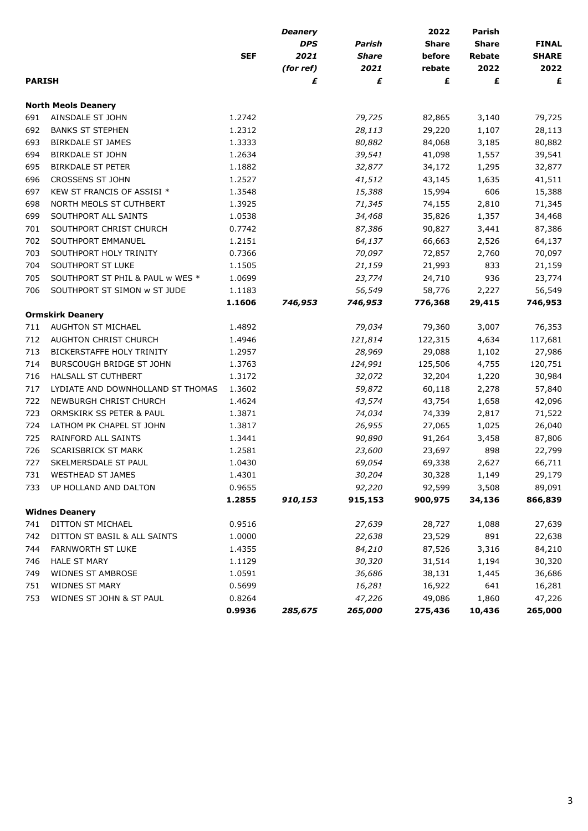|               |                                   |                  | <b>Deanery</b> |              | 2022         | Parish         |                  |
|---------------|-----------------------------------|------------------|----------------|--------------|--------------|----------------|------------------|
|               |                                   |                  | <b>DPS</b>     | Parish       | <b>Share</b> | <b>Share</b>   | <b>FINAL</b>     |
|               |                                   | <b>SEF</b>       | 2021           | <b>Share</b> | before       | <b>Rebate</b>  | <b>SHARE</b>     |
|               |                                   |                  | (for ref)      | 2021         | rebate       | 2022           | 2022             |
| <b>PARISH</b> |                                   |                  | £              | £            | £            | £              | £                |
|               | <b>North Meols Deanery</b>        |                  |                |              |              |                |                  |
| 691           | AINSDALE ST JOHN                  | 1.2742           |                | 79,725       | 82,865       | 3,140          | 79,725           |
| 692           | <b>BANKS ST STEPHEN</b>           | 1.2312           |                | 28,113       | 29,220       | 1,107          | 28,113           |
| 693           | <b>BIRKDALE ST JAMES</b>          | 1.3333           |                | 80,882       | 84,068       | 3,185          | 80,882           |
| 694           | <b>BIRKDALE ST JOHN</b>           | 1.2634           |                | 39,541       | 41,098       | 1,557          | 39,541           |
| 695           | <b>BIRKDALE ST PETER</b>          | 1.1882           |                | 32,877       | 34,172       | 1,295          | 32,877           |
| 696           | CROSSENS ST JOHN                  | 1.2527           |                | 41,512       | 43,145       | 1,635          | 41,511           |
| 697           | KEW ST FRANCIS OF ASSISI *        | 1.3548           |                | 15,388       | 15,994       | 606            | 15,388           |
| 698           | NORTH MEOLS ST CUTHBERT           | 1.3925           |                | 71,345       | 74,155       | 2,810          | 71,345           |
| 699           | SOUTHPORT ALL SAINTS              | 1.0538           |                | 34,468       | 35,826       | 1,357          | 34,468           |
| 701           | SOUTHPORT CHRIST CHURCH           | 0.7742           |                | 87,386       | 90,827       | 3,441          | 87,386           |
| 702           | SOUTHPORT EMMANUEL                | 1.2151           |                | 64,137       | 66,663       | 2,526          | 64,137           |
| 703           | SOUTHPORT HOLY TRINITY            | 0.7366           |                | 70,097       | 72,857       | 2,760          | 70,097           |
| 704           | SOUTHPORT ST LUKE                 | 1.1505           |                | 21,159       | 21,993       | 833            | 21,159           |
| 705           | SOUTHPORT ST PHIL & PAUL w WES *  | 1.0699           |                | 23,774       | 24,710       | 936            | 23,774           |
| 706           | SOUTHPORT ST SIMON w ST JUDE      | 1.1183           |                | 56,549       | 58,776       | 2,227          | 56,549           |
|               |                                   | 1.1606           | 746,953        | 746,953      | 776,368      | 29,415         | 746,953          |
|               | <b>Ormskirk Deanery</b>           |                  |                |              |              |                |                  |
| 711           | AUGHTON ST MICHAEL                | 1.4892           |                | 79,034       | 79,360       | 3,007          | 76,353           |
| 712           | AUGHTON CHRIST CHURCH             | 1.4946           |                | 121,814      | 122,315      | 4,634          | 117,681          |
| 713           | BICKERSTAFFE HOLY TRINITY         | 1.2957           |                | 28,969       | 29,088       | 1,102          | 27,986           |
| 714           | BURSCOUGH BRIDGE ST JOHN          | 1.3763           |                | 124,991      | 125,506      | 4,755          | 120,751          |
| 716           | HALSALL ST CUTHBERT               | 1.3172           |                | 32,072       | 32,204       | 1,220          | 30,984           |
| 717           | LYDIATE AND DOWNHOLLAND ST THOMAS | 1.3602           |                | 59,872       | 60,118       | 2,278          | 57,840           |
| 722           | NEWBURGH CHRIST CHURCH            | 1.4624           |                | 43,574       | 43,754       | 1,658          | 42,096           |
| 723           | ORMSKIRK SS PETER & PAUL          | 1.3871           |                | 74,034       | 74,339       | 2,817          | 71,522           |
| 724           | LATHOM PK CHAPEL ST JOHN          | 1.3817           |                | 26,955       | 27,065       | 1,025          | 26,040           |
| 725           | RAINFORD ALL SAINTS               | 1.3441           |                | 90,890       | 91,264       | 3,458          | 87,806           |
| 726           | SCARISBRICK ST MARK               | 1.2581           |                | 23,600       | 23,697       | 898            | 22,799           |
| 727           | SKELMERSDALE ST PAUL              | 1.0430           |                | 69,054       | 69,338       | 2,627          | 66,711           |
| 731           | <b>WESTHEAD ST JAMES</b>          | 1.4301           |                | 30,204       | 30,328       | 1,149          | 29,179           |
| 733           | UP HOLLAND AND DALTON             | 0.9655           |                | 92,220       | 92,599       | 3,508          | 89,091           |
|               |                                   | 1.2855           | 910,153        | 915,153      | 900,975      | 34,136         | 866,839          |
|               | <b>Widnes Deanery</b>             |                  |                |              |              |                |                  |
| 741           | DITTON ST MICHAEL                 | 0.9516           |                | 27,639       | 28,727       | 1,088          | 27,639           |
| 742           | DITTON ST BASIL & ALL SAINTS      | 1.0000           |                | 22,638       | 23,529       | 891            | 22,638           |
| 744           | FARNWORTH ST LUKE                 | 1.4355           |                | 84,210       | 87,526       | 3,316          | 84,210           |
| 746           | <b>HALE ST MARY</b>               |                  |                | 30,320       | 31,514       |                |                  |
| 749           | WIDNES ST AMBROSE                 | 1.1129<br>1.0591 |                | 36,686       | 38,131       | 1,194<br>1,445 | 30,320<br>36,686 |
|               |                                   |                  |                |              |              |                |                  |
| 751           | <b>WIDNES ST MARY</b>             | 0.5699           |                | 16,281       | 16,922       | 641            | 16,281           |
| 753           | WIDNES ST JOHN & ST PAUL          | 0.8264           |                | 47,226       | 49,086       | 1,860          | 47,226           |
|               |                                   | 0.9936           | 285,675        | 265,000      | 275,436      | 10,436         | 265,000          |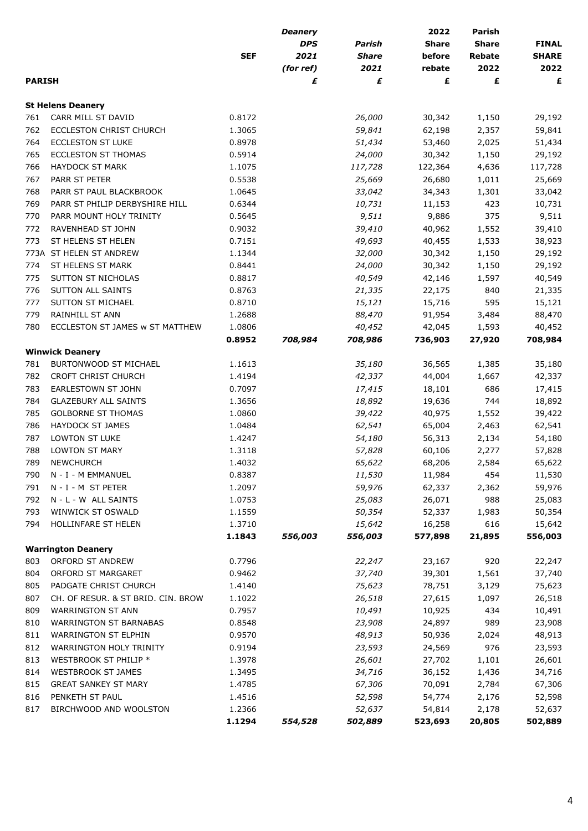|               |                                    |            | <b>Deanery</b> |              | 2022         | <b>Parish</b> |              |
|---------------|------------------------------------|------------|----------------|--------------|--------------|---------------|--------------|
|               |                                    |            | <b>DPS</b>     | Parish       | <b>Share</b> | <b>Share</b>  | <b>FINAL</b> |
|               |                                    | <b>SEF</b> | 2021           | <b>Share</b> | before       | <b>Rebate</b> | <b>SHARE</b> |
|               |                                    |            | (for ref)      | 2021         | rebate       | 2022          | 2022         |
| <b>PARISH</b> |                                    |            | £              | £            | £            | £             | £            |
|               | <b>St Helens Deanery</b>           |            |                |              |              |               |              |
| 761           | CARR MILL ST DAVID                 | 0.8172     |                | 26,000       | 30,342       | 1,150         | 29,192       |
| 762           | ECCLESTON CHRIST CHURCH            | 1.3065     |                | 59,841       | 62,198       | 2,357         | 59,841       |
| 764           | <b>ECCLESTON ST LUKE</b>           | 0.8978     |                | 51,434       | 53,460       | 2,025         | 51,434       |
| 765           | ECCLESTON ST THOMAS                | 0.5914     |                | 24,000       | 30,342       | 1,150         | 29,192       |
| 766           | <b>HAYDOCK ST MARK</b>             | 1.1075     |                | 117,728      | 122,364      | 4,636         | 117,728      |
| 767           | PARR ST PETER                      | 0.5538     |                | 25,669       | 26,680       | 1,011         | 25,669       |
| 768           | PARR ST PAUL BLACKBROOK            | 1.0645     |                | 33,042       | 34,343       | 1,301         | 33,042       |
| 769           | PARR ST PHILIP DERBYSHIRE HILL     | 0.6344     |                | 10,731       | 11,153       | 423           | 10,731       |
| 770           | PARR MOUNT HOLY TRINITY            | 0.5645     |                | 9,511        | 9,886        | 375           | 9,511        |
| 772           | RAVENHEAD ST JOHN                  | 0.9032     |                | 39,410       | 40,962       | 1,552         | 39,410       |
| 773           | ST HELENS ST HELEN                 | 0.7151     |                | 49,693       | 40,455       | 1,533         | 38,923       |
| 773A          | ST HELEN ST ANDREW                 | 1.1344     |                | 32,000       | 30,342       | 1,150         | 29,192       |
| 774           | ST HELENS ST MARK                  | 0.8441     |                | 24,000       | 30,342       | 1,150         | 29,192       |
| 775           | SUTTON ST NICHOLAS                 | 0.8817     |                | 40,549       | 42,146       | 1,597         | 40,549       |
| 776           | SUTTON ALL SAINTS                  | 0.8763     |                | 21,335       | 22,175       | 840           | 21,335       |
| 777           | SUTTON ST MICHAEL                  | 0.8710     |                | 15,121       | 15,716       | 595           | 15,121       |
| 779           | RAINHILL ST ANN                    | 1.2688     |                | 88,470       | 91,954       | 3,484         | 88,470       |
| 780           | ECCLESTON ST JAMES w ST MATTHEW    | 1.0806     |                | 40,452       | 42,045       | 1,593         | 40,452       |
|               |                                    | 0.8952     | 708,984        | 708,986      | 736,903      | 27,920        | 708,984      |
|               | <b>Winwick Deanery</b>             |            |                |              |              |               |              |
| 781           | BURTONWOOD ST MICHAEL              | 1.1613     |                | 35,180       | 36,565       | 1,385         | 35,180       |
| 782           | CROFT CHRIST CHURCH                | 1.4194     |                | 42,337       | 44,004       | 1,667         | 42,337       |
| 783           | <b>EARLESTOWN ST JOHN</b>          | 0.7097     |                | 17,415       | 18,101       | 686           | 17,415       |
| 784           | <b>GLAZEBURY ALL SAINTS</b>        | 1.3656     |                | 18,892       | 19,636       | 744           | 18,892       |
| 785           | <b>GOLBORNE ST THOMAS</b>          | 1.0860     |                | 39,422       | 40,975       | 1,552         | 39,422       |
| 786           | HAYDOCK ST JAMES                   | 1.0484     |                | 62,541       | 65,004       | 2,463         | 62,541       |
| 787           | LOWTON ST LUKE                     | 1.4247     |                | 54,180       | 56,313       | 2,134         | 54,180       |
| 788           | LOWTON ST MARY                     | 1.3118     |                | 57,828       | 60,106       | 2,277         | 57,828       |
| 789           | <b>NEWCHURCH</b>                   | 1.4032     |                | 65,622       | 68,206       | 2,584         | 65,622       |
| 790           | N - I - M EMMANUEL                 | 0.8387     |                | 11,530       | 11,984       | 454           | 11,530       |
| 791           | N-I-M ST PETER                     | 1.2097     |                | 59,976       | 62,337       | 2,362         | 59,976       |
| 792           | N - L - W ALL SAINTS               | 1.0753     |                | 25,083       | 26,071       | 988           | 25,083       |
| 793           | WINWICK ST OSWALD                  | 1.1559     |                | 50,354       | 52,337       | 1,983         | 50,354       |
| 794           | HOLLINFARE ST HELEN                | 1.3710     |                | 15,642       | 16,258       | 616           | 15,642       |
|               |                                    | 1.1843     | 556,003        | 556,003      | 577,898      | 21,895        | 556,003      |
|               | <b>Warrington Deanery</b>          |            |                |              |              |               |              |
| 803           | ORFORD ST ANDREW                   | 0.7796     |                | 22,247       | 23,167       | 920           | 22,247       |
| 804           | ORFORD ST MARGARET                 | 0.9462     |                | 37,740       | 39,301       | 1,561         | 37,740       |
| 805           | PADGATE CHRIST CHURCH              | 1.4140     |                | 75,623       | 78,751       | 3,129         | 75,623       |
| 807           | CH. OF RESUR. & ST BRID. CIN. BROW | 1.1022     |                | 26,518       | 27,615       | 1,097         | 26,518       |
| 809           | WARRINGTON ST ANN                  | 0.7957     |                | 10,491       | 10,925       | 434           | 10,491       |
| 810           | WARRINGTON ST BARNABAS             | 0.8548     |                | 23,908       | 24,897       | 989           | 23,908       |
| 811           | WARRINGTON ST ELPHIN               | 0.9570     |                | 48,913       | 50,936       | 2,024         | 48,913       |
| 812           | WARRINGTON HOLY TRINITY            | 0.9194     |                | 23,593       | 24,569       | 976           | 23,593       |
| 813           | WESTBROOK ST PHILIP *              | 1.3978     |                | 26,601       | 27,702       | 1,101         | 26,601       |
| 814           | WESTBROOK ST JAMES                 | 1.3495     |                | 34,716       | 36,152       | 1,436         | 34,716       |
| 815           | <b>GREAT SANKEY ST MARY</b>        | 1.4785     |                | 67,306       | 70,091       | 2,784         | 67,306       |
| 816           | PENKETH ST PAUL                    | 1.4516     |                | 52,598       | 54,774       | 2,176         | 52,598       |
| 817           | BIRCHWOOD AND WOOLSTON             | 1.2366     |                | 52,637       | 54,814       | 2,178         | 52,637       |
|               |                                    | 1.1294     | 554,528        | 502,889      | 523,693      | 20,805        | 502,889      |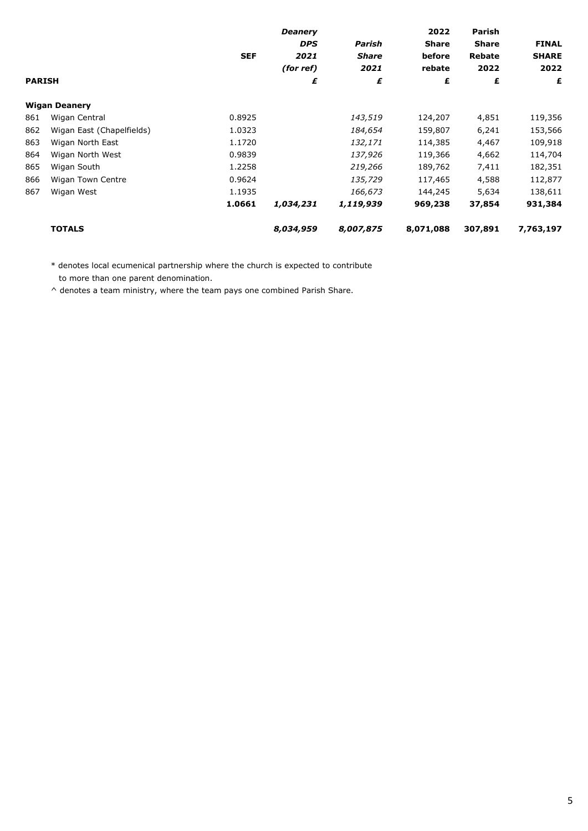|               |                           |            | <b>Deanery</b> |              | 2022         | Parish        |              |
|---------------|---------------------------|------------|----------------|--------------|--------------|---------------|--------------|
|               |                           |            | <b>DPS</b>     | Parish       | <b>Share</b> | <b>Share</b>  | <b>FINAL</b> |
|               |                           | <b>SEF</b> | 2021           | <b>Share</b> | before       | <b>Rebate</b> | <b>SHARE</b> |
|               |                           |            | (for ref)      | 2021         | rebate       | 2022          | 2022         |
| <b>PARISH</b> |                           |            | £              | £            | £            | £             | £            |
|               | <b>Wigan Deanery</b>      |            |                |              |              |               |              |
| 861           | Wigan Central             | 0.8925     |                | 143,519      | 124,207      | 4,851         | 119,356      |
| 862           | Wigan East (Chapelfields) | 1.0323     |                | 184,654      | 159,807      | 6,241         | 153,566      |
| 863           | Wigan North East          | 1.1720     |                | 132,171      | 114,385      | 4,467         | 109,918      |
| 864           | Wigan North West          | 0.9839     |                | 137,926      | 119,366      | 4,662         | 114,704      |
| 865           | Wigan South               | 1.2258     |                | 219,266      | 189,762      | 7,411         | 182,351      |
| 866           | Wigan Town Centre         | 0.9624     |                | 135,729      | 117,465      | 4,588         | 112,877      |
| 867           | Wigan West                | 1.1935     |                | 166,673      | 144,245      | 5,634         | 138,611      |
|               |                           | 1.0661     | 1,034,231      | 1,119,939    | 969,238      | 37,854        | 931,384      |
|               | <b>TOTALS</b>             |            | 8,034,959      | 8,007,875    | 8,071,088    | 307,891       | 7,763,197    |

\* denotes local ecumenical partnership where the church is expected to contribute

to more than one parent denomination.

^ denotes a team ministry, where the team pays one combined Parish Share.